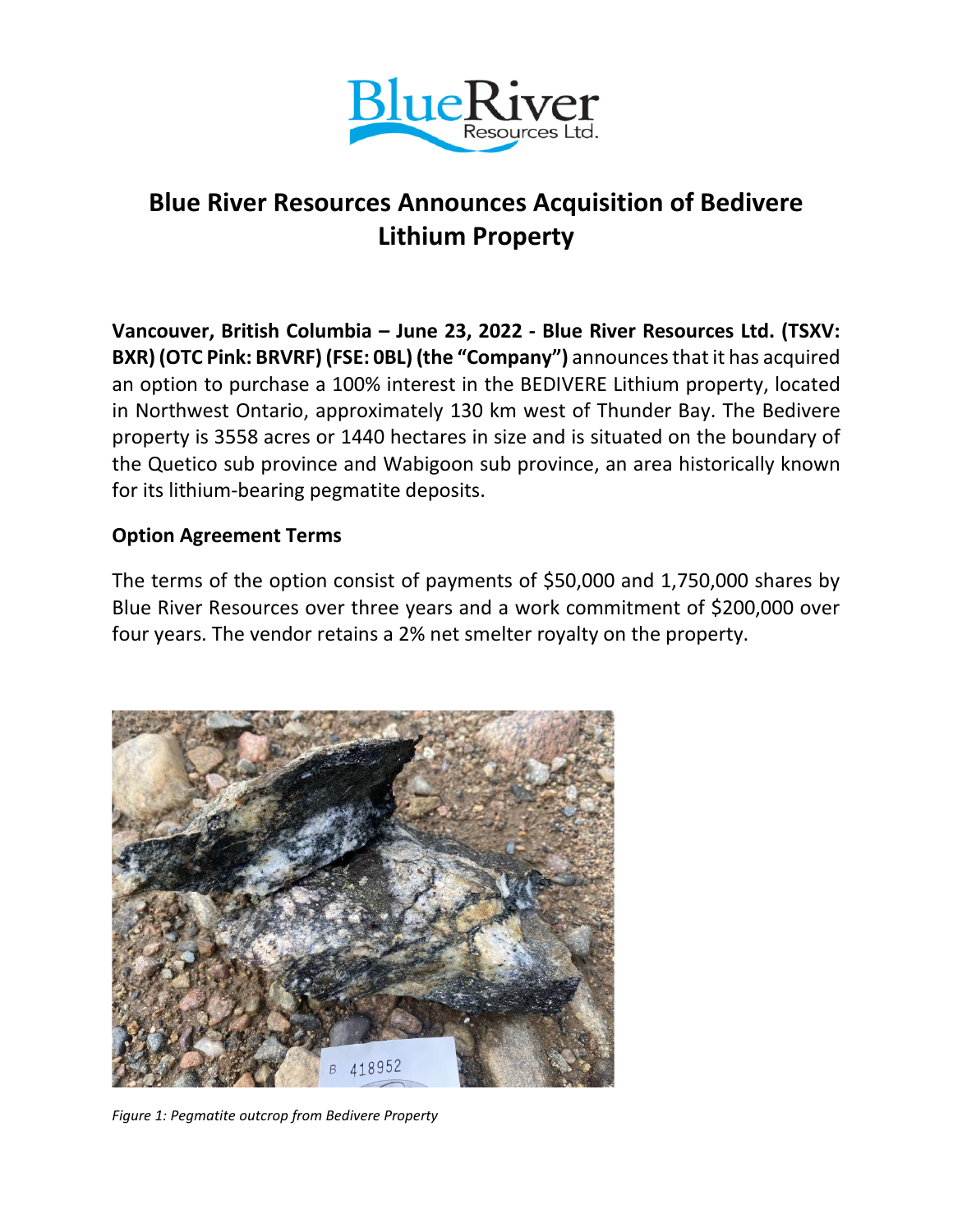

## **Blue River Resources Announces Acquisition of Bedivere Lithium Property**

**Vancouver, British Columbia – June 23, 2022 - Blue River Resources Ltd. (TSXV: BXR) (OTC Pink: BRVRF) (FSE: 0BL) (the "Company")** announces that it has acquired an option to purchase a 100% interest in the BEDIVERE Lithium property, located in Northwest Ontario, approximately 130 km west of Thunder Bay. The Bedivere property is 3558 acres or 1440 hectares in size and is situated on the boundary of the Quetico sub province and Wabigoon sub province, an area historically known for its lithium-bearing pegmatite deposits.

## **Option Agreement Terms**

The terms of the option consist of payments of \$50,000 and 1,750,000 shares by Blue River Resources over three years and a work commitment of \$200,000 over four years. The vendor retains a 2% net smelter royalty on the property.



*Figure 1: Pegmatite outcrop from Bedivere Property*